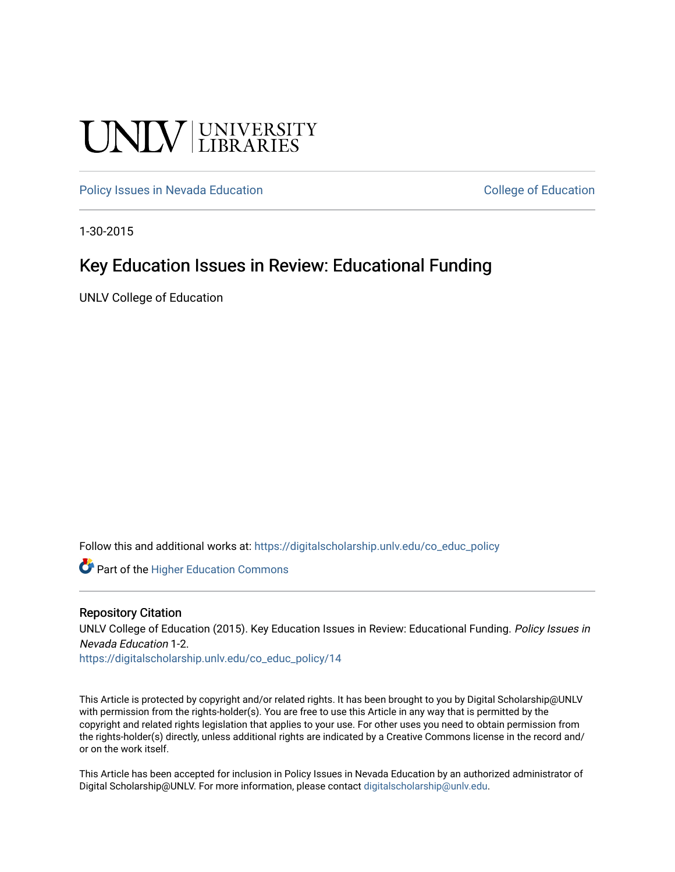# UNIV UNIVERSITY

[Policy Issues in Nevada Education](https://digitalscholarship.unlv.edu/co_educ_policy) **College of Equation** College of Education

1-30-2015

#### Key Education Issues in Review: Educational Funding

UNLV College of Education

Follow this and additional works at: [https://digitalscholarship.unlv.edu/co\\_educ\\_policy](https://digitalscholarship.unlv.edu/co_educ_policy?utm_source=digitalscholarship.unlv.edu%2Fco_educ_policy%2F14&utm_medium=PDF&utm_campaign=PDFCoverPages)

**C** Part of the Higher Education Commons

#### Repository Citation

UNLV College of Education (2015). Key Education Issues in Review: Educational Funding. Policy Issues in Nevada Education 1-2.

[https://digitalscholarship.unlv.edu/co\\_educ\\_policy/14](https://digitalscholarship.unlv.edu/co_educ_policy/14) 

This Article is protected by copyright and/or related rights. It has been brought to you by Digital Scholarship@UNLV with permission from the rights-holder(s). You are free to use this Article in any way that is permitted by the copyright and related rights legislation that applies to your use. For other uses you need to obtain permission from the rights-holder(s) directly, unless additional rights are indicated by a Creative Commons license in the record and/ or on the work itself.

This Article has been accepted for inclusion in Policy Issues in Nevada Education by an authorized administrator of Digital Scholarship@UNLV. For more information, please contact [digitalscholarship@unlv.edu](mailto:digitalscholarship@unlv.edu).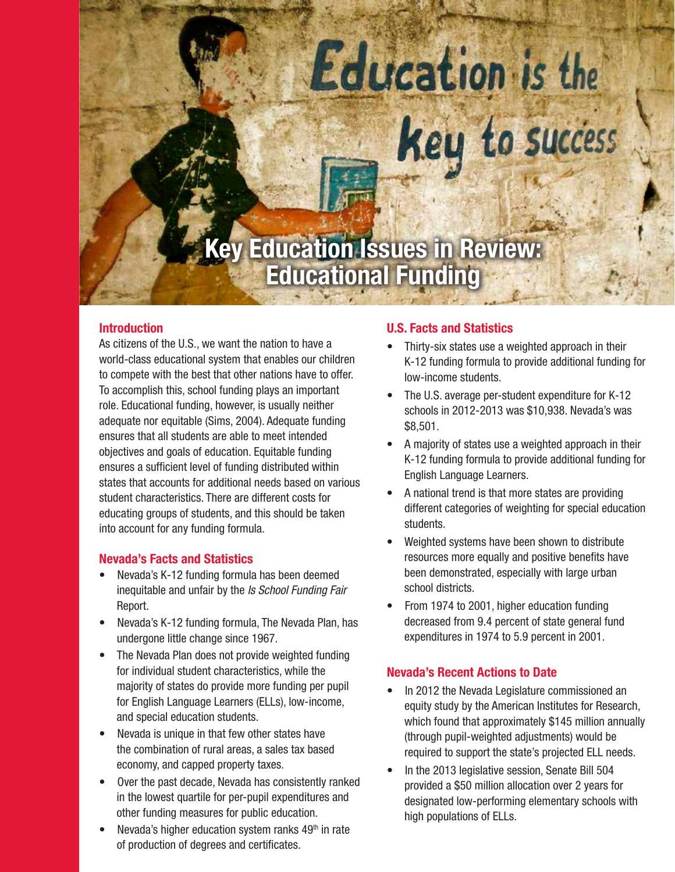# Education is the Key to success

## **Key Education Issues in Review: Educational Funding**

#### **Introduction**

As citizens of the U.S., we want the nation to have a world-class educational system that enables our children to compete with the best that other nations have to offer. To accomplish this, school funding plays an important role. Educational funding, however, is usually neither adequate nor equitable (Sims, 2004). Adequate funding ensures that all students are able to meet intended objectives and goals of education. Equitable funding ensures a sufficient level of funding distributed within states that accounts for additional needs based on various student characteristics. There are different costs for educating groups of students, and this should be taken into account for any funding formula.

#### **Nevada's Facts and Statistics**

- Nevada's K-12 funding formula has been deemed inequitable and unfair by the *Is School Funding Fair* Report.
- Nevada's K-12 funding formula, The Nevada Plan, has undergone little change since 1967.
- The Nevada Plan does not provide weighted funding for individual student characteristics, while the majority of states do provide more funding per pupil for English Language Learners (ELLs), low-income, and special education students.
- Nevada is unique in that few other states have the combination of rural areas, a sales tax based economy, and capped property taxes.
- Over the past decade, Nevada has consistently ranked in the lowest quartile for per-pupil expenditures and other funding measures for public education.
- Nevada's higher education system ranks  $49<sup>th</sup>$  in rate of production of degrees and certificates.

#### **U.S. Facts and Statistics**

- Thirty-six states use a weighted approach in their K-12 funding formula to provide additional funding for low-income students.
- The U.S. average per-student expenditure for K-12 schools in 2012-2013 was \$10,938. Nevada's was \$8,501.
- A majority of states use a weighted approach in their K-12 funding formula to provide additional funding for English Language Learners.
- A national trend is that more states are providing different categories of weighting for special education students.
- Weighted systems have been shown to distribute resources more equally and positive benefits have been demonstrated, especially with large urban school districts.
- From 1974 to 2001, higher education funding decreased from 9.4 percent of state general fund expenditures in 1974 to 5.9 percent in 2001.

#### **Nevada's Recent Actions to Date**

- In 2012 the Nevada Legislature commissioned an equity study by the American Institutes for Research, which found that approximately \$145 million annually (through pupil-weighted adjustments) would be required to support the state's projected ELL needs.
- In the 2013 legislative session, Senate Bill 504 provided a \$50 million allocation over 2 years for designated low-performing elementary schools with high populations of ELLs.